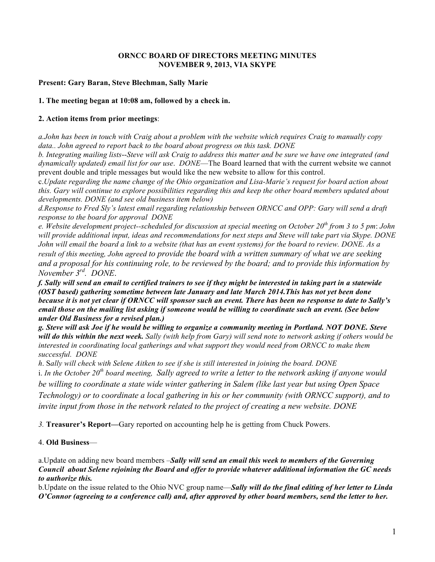#### **ORNCC BOARD OF DIRECTORS MEETING MINUTES NOVEMBER 9, 2013, VIA SKYPE**

### **Present: Gary Baran, Steve Blechman, Sally Marie**

### **1. The meeting began at 10:08 am, followed by a check in.**

## **2. Action items from prior meetings**:

*a.John has been in touch with Craig about a problem with the website which requires Craig to manually copy data.. John agreed to report back to the board about progress on this task. DONE*

*b. Integrating mailing lists*--*Steve will ask Craig to address this matter and be sure we have one integrated (and dynamically updated) email list for our use*. *DONE*—The Board learned that with the current website we cannot prevent double and triple messages but would like the new website to allow for this control.

c.*Update regarding the name change of the Ohio organization and Lisa-Marie's request for board action about this. Gary will continue to explore possibilities regarding this and keep the other board members updated about developments. DONE (and see old business item below)*

*d.Response to Fred Sly's latest email regarding relationship between ORNCC and OPP: Gary will send a draft response to the board for approval DONE*

*e. Website development project--scheduled for discussion at special meeting on October 20th from 3 to 5 pm*: *John will provide additional input, ideas and recommendations for next steps and Steve will take part via Skype. DONE John will email the board a link to a website (that has an event systems) for the board to review. DONE. As a result of this meeting, John agreed to provide the board with a written summary of what we are seeking and a proposal for his continuing role, to be reviewed by the board; and to provide this information by November 3rd. DONE*.

*f. Sally will send an email to certified trainers to see if they might be interested in taking part in a statewide (OST based) gathering sometime between late January and late March 2014.This has not yet been done because it is not yet clear if ORNCC will sponsor such an event. There has been no response to date to Sally's email those on the mailing list asking if someone would be willing to coordinate such an event. (See below under Old Business for a revised plan.)*

*g. Steve will ask Joe if he would be willing to organize a community meeting in Portland. NOT DONE. Steve will do this within the next week. Sally (with help from Gary) will send note to network asking if others would be interested in coordinating local gatherings and what support they would need from ORNCC to make them successful. DONE*

*h*. S*ally will check with Selene Aitken to see if she is still interested in joining the board. DONE*

i. *In the October 20th board meeting, Sally agreed to write a letter to the network asking if anyone would be willing to coordinate a state wide winter gathering in Salem (like last year but using Open Space Technology) or to coordinate a local gathering in his or her community (with ORNCC support), and to invite input from those in the network related to the project of creating a new website. DONE* 

*3.* **Treasurer's Report—**Gary reported on accounting help he is getting from Chuck Powers.

# 4. **Old Business**—

a.Update on adding new board members –*Sally will send an email this week to members of the Governing Council about Selene rejoining the Board and offer to provide whatever additional information the GC needs to authorize this.*

b.Update on the issue related to the Ohio NVC group name—*Sally will do the final editing of her letter to Linda O'Connor (agreeing to a conference call) and, after approved by other board members, send the letter to her.*